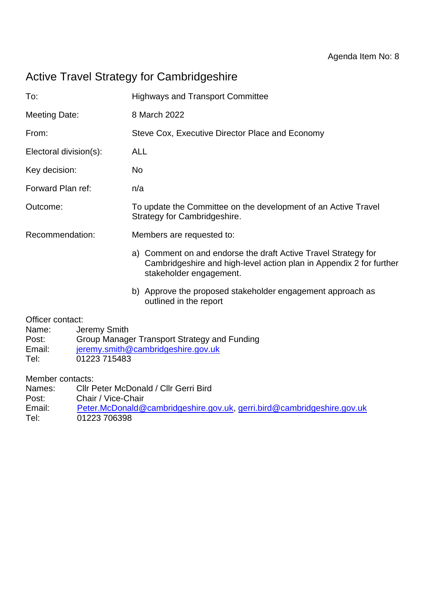# Active Travel Strategy for Cambridgeshire

| To:                                                                                                                                                                                            |  | <b>Highways and Transport Committee</b>         |                                                                                                                                                                  |  |
|------------------------------------------------------------------------------------------------------------------------------------------------------------------------------------------------|--|-------------------------------------------------|------------------------------------------------------------------------------------------------------------------------------------------------------------------|--|
| <b>Meeting Date:</b>                                                                                                                                                                           |  | 8 March 2022                                    |                                                                                                                                                                  |  |
| From:                                                                                                                                                                                          |  | Steve Cox, Executive Director Place and Economy |                                                                                                                                                                  |  |
| Electoral division(s):                                                                                                                                                                         |  | <b>ALL</b>                                      |                                                                                                                                                                  |  |
| Key decision:                                                                                                                                                                                  |  | No                                              |                                                                                                                                                                  |  |
| Forward Plan ref:                                                                                                                                                                              |  | n/a                                             |                                                                                                                                                                  |  |
| Outcome:                                                                                                                                                                                       |  |                                                 | To update the Committee on the development of an Active Travel<br>Strategy for Cambridgeshire.                                                                   |  |
| Recommendation:                                                                                                                                                                                |  | Members are requested to:                       |                                                                                                                                                                  |  |
|                                                                                                                                                                                                |  |                                                 | a) Comment on and endorse the draft Active Travel Strategy for<br>Cambridgeshire and high-level action plan in Appendix 2 for further<br>stakeholder engagement. |  |
|                                                                                                                                                                                                |  |                                                 | b) Approve the proposed stakeholder engagement approach as<br>outlined in the report                                                                             |  |
| Officer contact:<br>Jeremy Smith<br>Name:<br>Group Manager Transport Strategy and Funding<br>Post:<br>Email:<br>jeremy.smith@cambridgeshire.gov.uk<br>01223 715483<br>Tel:<br>Member contacts: |  |                                                 |                                                                                                                                                                  |  |
| Cllr Peter McDonald / Cllr Gerri Bird<br>Names:                                                                                                                                                |  |                                                 |                                                                                                                                                                  |  |

- Post: Chair / Vice-Chair<br>Email: Peter.McDonald@ Email: [Peter.McDonald@cambridgeshire.gov.uk,](mailto:Peter.McDonald@cambridgeshire.gov.uk) [gerri.bird@cambridgeshire.gov.uk](mailto:gerri.bird@cambridgeshire.gov.uk)<br>Tel: 01223 706398
- 01223 706398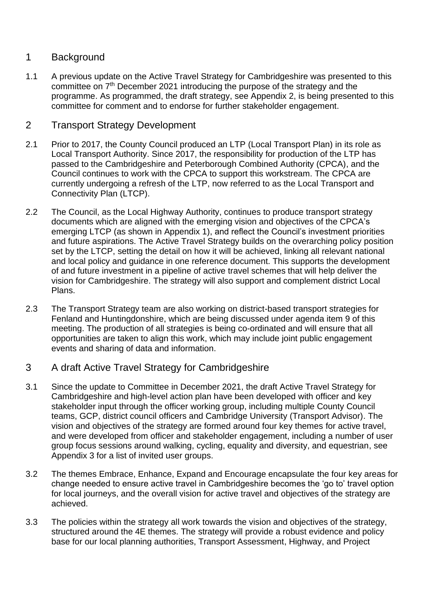# 1 Background

1.1 A previous update on the Active Travel Strategy for Cambridgeshire was presented to this committee on 7th December 2021 introducing the purpose of the strategy and the programme. As programmed, the draft strategy, see Appendix 2, is being presented to this committee for comment and to endorse for further stakeholder engagement.

## 2 Transport Strategy Development

- 2.1 Prior to 2017, the County Council produced an LTP (Local Transport Plan) in its role as Local Transport Authority. Since 2017, the responsibility for production of the LTP has passed to the Cambridgeshire and Peterborough Combined Authority (CPCA), and the Council continues to work with the CPCA to support this workstream. The CPCA are currently undergoing a refresh of the LTP, now referred to as the Local Transport and Connectivity Plan (LTCP).
- 2.2 The Council, as the Local Highway Authority, continues to produce transport strategy documents which are aligned with the emerging vision and objectives of the CPCA's emerging LTCP (as shown in Appendix 1), and reflect the Council's investment priorities and future aspirations. The Active Travel Strategy builds on the overarching policy position set by the LTCP, setting the detail on how it will be achieved, linking all relevant national and local policy and guidance in one reference document. This supports the development of and future investment in a pipeline of active travel schemes that will help deliver the vision for Cambridgeshire. The strategy will also support and complement district Local Plans.
- 2.3 The Transport Strategy team are also working on district-based transport strategies for Fenland and Huntingdonshire, which are being discussed under agenda item 9 of this meeting. The production of all strategies is being co-ordinated and will ensure that all opportunities are taken to align this work, which may include joint public engagement events and sharing of data and information.

## 3 A draft Active Travel Strategy for Cambridgeshire

- 3.1 Since the update to Committee in December 2021, the draft Active Travel Strategy for Cambridgeshire and high-level action plan have been developed with officer and key stakeholder input through the officer working group, including multiple County Council teams, GCP, district council officers and Cambridge University (Transport Advisor). The vision and objectives of the strategy are formed around four key themes for active travel, and were developed from officer and stakeholder engagement, including a number of user group focus sessions around walking, cycling, equality and diversity, and equestrian, see Appendix 3 for a list of invited user groups.
- 3.2 The themes Embrace, Enhance, Expand and Encourage encapsulate the four key areas for change needed to ensure active travel in Cambridgeshire becomes the 'go to' travel option for local journeys, and the overall vision for active travel and objectives of the strategy are achieved.
- 3.3 The policies within the strategy all work towards the vision and objectives of the strategy, structured around the 4E themes. The strategy will provide a robust evidence and policy base for our local planning authorities, Transport Assessment, Highway, and Project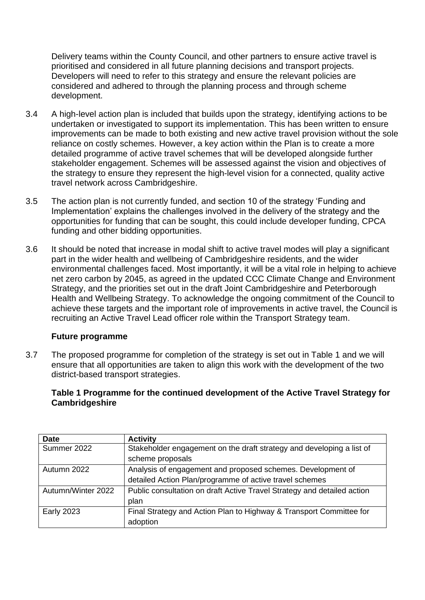Delivery teams within the County Council, and other partners to ensure active travel is prioritised and considered in all future planning decisions and transport projects. Developers will need to refer to this strategy and ensure the relevant policies are considered and adhered to through the planning process and through scheme development.

- 3.4 A high-level action plan is included that builds upon the strategy, identifying actions to be undertaken or investigated to support its implementation. This has been written to ensure improvements can be made to both existing and new active travel provision without the sole reliance on costly schemes. However, a key action within the Plan is to create a more detailed programme of active travel schemes that will be developed alongside further stakeholder engagement. Schemes will be assessed against the vision and objectives of the strategy to ensure they represent the high-level vision for a connected, quality active travel network across Cambridgeshire.
- 3.5 The action plan is not currently funded, and section 10 of the strategy 'Funding and Implementation' explains the challenges involved in the delivery of the strategy and the opportunities for funding that can be sought, this could include developer funding, CPCA funding and other bidding opportunities.
- 3.6 It should be noted that increase in modal shift to active travel modes will play a significant part in the wider health and wellbeing of Cambridgeshire residents, and the wider environmental challenges faced. Most importantly, it will be a vital role in helping to achieve net zero carbon by 2045, as agreed in the updated CCC Climate Change and Environment Strategy, and the priorities set out in the draft Joint Cambridgeshire and Peterborough Health and Wellbeing Strategy. To acknowledge the ongoing commitment of the Council to achieve these targets and the important role of improvements in active travel, the Council is recruiting an Active Travel Lead officer role within the Transport Strategy team.

#### **Future programme**

3.7 The proposed programme for completion of the strategy is set out in Table 1 and we will ensure that all opportunities are taken to align this work with the development of the two district-based transport strategies.

### **Table 1 Programme for the continued development of the Active Travel Strategy for Cambridgeshire**

| <b>Date</b>        | <b>Activity</b>                                                         |
|--------------------|-------------------------------------------------------------------------|
| Summer 2022        | Stakeholder engagement on the draft strategy and developing a list of   |
|                    | scheme proposals                                                        |
| Autumn 2022        | Analysis of engagement and proposed schemes. Development of             |
|                    | detailed Action Plan/programme of active travel schemes                 |
| Autumn/Winter 2022 | Public consultation on draft Active Travel Strategy and detailed action |
|                    | plan                                                                    |
| <b>Early 2023</b>  | Final Strategy and Action Plan to Highway & Transport Committee for     |
|                    | adoption                                                                |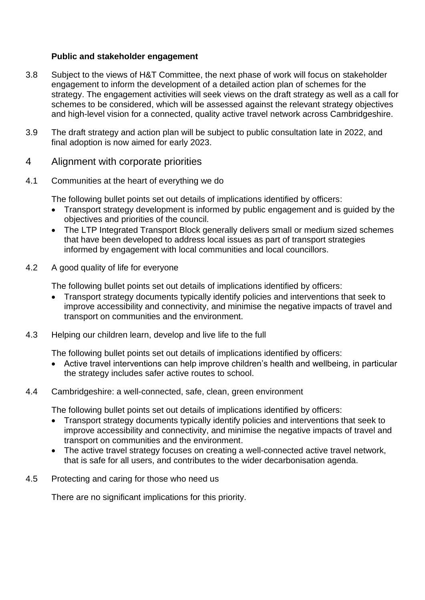### **Public and stakeholder engagement**

- 3.8 Subject to the views of H&T Committee, the next phase of work will focus on stakeholder engagement to inform the development of a detailed action plan of schemes for the strategy. The engagement activities will seek views on the draft strategy as well as a call for schemes to be considered, which will be assessed against the relevant strategy objectives and high-level vision for a connected, quality active travel network across Cambridgeshire.
- 3.9 The draft strategy and action plan will be subject to public consultation late in 2022, and final adoption is now aimed for early 2023.
- 4 Alignment with corporate priorities
- 4.1 Communities at the heart of everything we do

The following bullet points set out details of implications identified by officers:

- Transport strategy development is informed by public engagement and is guided by the objectives and priorities of the council.
- The LTP Integrated Transport Block generally delivers small or medium sized schemes that have been developed to address local issues as part of transport strategies informed by engagement with local communities and local councillors.
- 4.2 A good quality of life for everyone

The following bullet points set out details of implications identified by officers:

- Transport strategy documents typically identify policies and interventions that seek to improve accessibility and connectivity, and minimise the negative impacts of travel and transport on communities and the environment.
- 4.3 Helping our children learn, develop and live life to the full

The following bullet points set out details of implications identified by officers:

• Active travel interventions can help improve children's health and wellbeing, in particular the strategy includes safer active routes to school.

#### 4.4 Cambridgeshire: a well-connected, safe, clean, green environment

The following bullet points set out details of implications identified by officers:

- Transport strategy documents typically identify policies and interventions that seek to improve accessibility and connectivity, and minimise the negative impacts of travel and transport on communities and the environment.
- The active travel strategy focuses on creating a well-connected active travel network, that is safe for all users, and contributes to the wider decarbonisation agenda.
- 4.5 Protecting and caring for those who need us

There are no significant implications for this priority.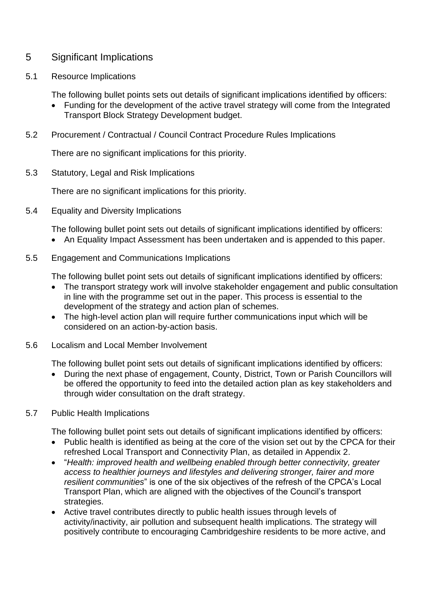### 5 Significant Implications

5.1 Resource Implications

The following bullet points sets out details of significant implications identified by officers:

- Funding for the development of the active travel strategy will come from the Integrated Transport Block Strategy Development budget.
- 5.2 Procurement / Contractual / Council Contract Procedure Rules Implications

There are no significant implications for this priority.

5.3 Statutory, Legal and Risk Implications

There are no significant implications for this priority.

5.4 Equality and Diversity Implications

The following bullet point sets out details of significant implications identified by officers:

- An Equality Impact Assessment has been undertaken and is appended to this paper.
- 5.5 Engagement and Communications Implications

The following bullet point sets out details of significant implications identified by officers:

- The transport strategy work will involve stakeholder engagement and public consultation in line with the programme set out in the paper. This process is essential to the development of the strategy and action plan of schemes.
- The high-level action plan will require further communications input which will be considered on an action-by-action basis.
- 5.6 Localism and Local Member Involvement

The following bullet point sets out details of significant implications identified by officers:

- During the next phase of engagement, County, District, Town or Parish Councillors will be offered the opportunity to feed into the detailed action plan as key stakeholders and through wider consultation on the draft strategy.
- 5.7 Public Health Implications

The following bullet point sets out details of significant implications identified by officers:

- Public health is identified as being at the core of the vision set out by the CPCA for their refreshed Local Transport and Connectivity Plan, as detailed in Appendix 2.
- "*Health: improved health and wellbeing enabled through better connectivity, greater access to healthier journeys and lifestyles and delivering stronger, fairer and more resilient communities*" is one of the six objectives of the refresh of the CPCA's Local Transport Plan, which are aligned with the objectives of the Council's transport strategies.
- Active travel contributes directly to public health issues through levels of activity/inactivity, air pollution and subsequent health implications. The strategy will positively contribute to encouraging Cambridgeshire residents to be more active, and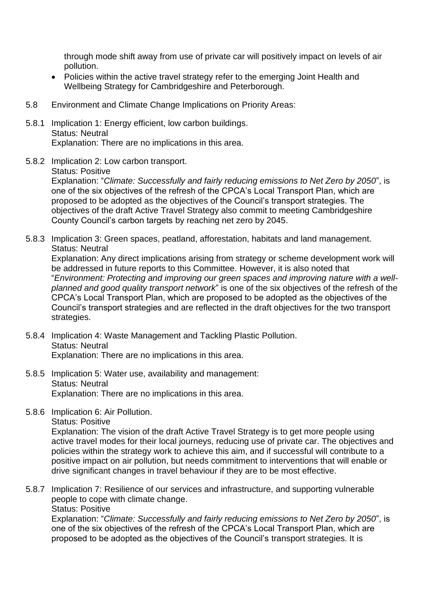through mode shift away from use of private car will positively impact on levels of air pollution.

- Policies within the active travel strategy refer to the emerging Joint Health and Wellbeing Strategy for Cambridgeshire and Peterborough.
- 5.8 Environment and Climate Change Implications on Priority Areas:
- 5.8.1 Implication 1: Energy efficient, low carbon buildings. Status: Neutral Explanation: There are no implications in this area.
- 5.8.2 Implication 2: Low carbon transport.
	- Status: Positive

Explanation: "*Climate: Successfully and fairly reducing emissions to Net Zero by 2050*", is one of the six objectives of the refresh of the CPCA's Local Transport Plan, which are proposed to be adopted as the objectives of the Council's transport strategies. The objectives of the draft Active Travel Strategy also commit to meeting Cambridgeshire County Council's carbon targets by reaching net zero by 2045.

5.8.3 Implication 3: Green spaces, peatland, afforestation, habitats and land management. Status: Neutral

Explanation: Any direct implications arising from strategy or scheme development work will be addressed in future reports to this Committee. However, it is also noted that "*Environment: Protecting and improving our green spaces and improving nature with a wellplanned and good quality transport network*" is one of the six objectives of the refresh of the CPCA's Local Transport Plan, which are proposed to be adopted as the objectives of the Council's transport strategies and are reflected in the draft objectives for the two transport strategies.

- 5.8.4 Implication 4: Waste Management and Tackling Plastic Pollution. Status: Neutral Explanation: There are no implications in this area.
- 5.8.5 Implication 5: Water use, availability and management: Status: Neutral Explanation: There are no implications in this area.
- 5.8.6 Implication 6: Air Pollution.

Status: Positive

Explanation: The vision of the draft Active Travel Strategy is to get more people using active travel modes for their local journeys, reducing use of private car. The objectives and policies within the strategy work to achieve this aim, and if successful will contribute to a positive impact on air pollution, but needs commitment to interventions that will enable or drive significant changes in travel behaviour if they are to be most effective.

5.8.7 Implication 7: Resilience of our services and infrastructure, and supporting vulnerable people to cope with climate change.

Status: Positive

Explanation: "*Climate: Successfully and fairly reducing emissions to Net Zero by 2050*", is one of the six objectives of the refresh of the CPCA's Local Transport Plan, which are proposed to be adopted as the objectives of the Council's transport strategies. It is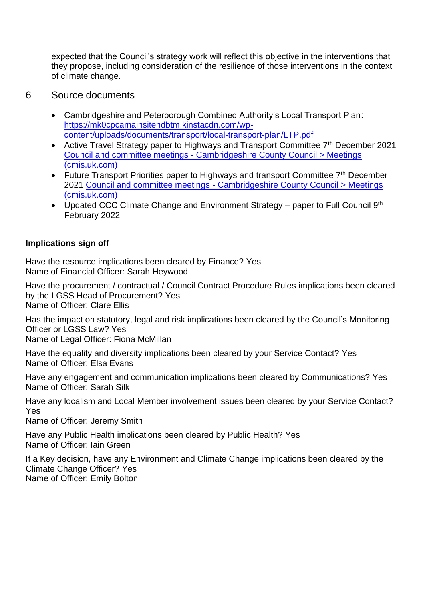expected that the Council's strategy work will reflect this objective in the interventions that they propose, including consideration of the resilience of those interventions in the context of climate change.

- 6 Source documents
	- Cambridgeshire and Peterborough Combined Authority's Local Transport Plan: [https://mk0cpcamainsitehdbtm.kinstacdn.com/wp](https://mk0cpcamainsitehdbtm.kinstacdn.com/wp-content/uploads/documents/transport/local-transport-plan/LTP.pdf)[content/uploads/documents/transport/local-transport-plan/LTP.pdf](https://mk0cpcamainsitehdbtm.kinstacdn.com/wp-content/uploads/documents/transport/local-transport-plan/LTP.pdf)
	- Active Travel Strategy paper to Highways and Transport Committee 7<sup>th</sup> December 2021 Council and committee meetings - [Cambridgeshire County Council > Meetings](https://cambridgeshire.cmis.uk.com/ccc_live/Meetings/tabid/70/ctl/ViewMeetingPublic/mid/397/Meeting/1713/Committee/62/Default.aspx)  [\(cmis.uk.com\)](https://cambridgeshire.cmis.uk.com/ccc_live/Meetings/tabid/70/ctl/ViewMeetingPublic/mid/397/Meeting/1713/Committee/62/Default.aspx)
	- Future Transport Priorities paper to Highways and transport Committee 7<sup>th</sup> December 2021 Council and committee meetings - [Cambridgeshire County Council > Meetings](https://cambridgeshire.cmis.uk.com/ccc_live/Meetings/tabid/70/ctl/ViewMeetingPublic/mid/397/Meeting/1713/Committee/62/Default.aspx)  [\(cmis.uk.com\)](https://cambridgeshire.cmis.uk.com/ccc_live/Meetings/tabid/70/ctl/ViewMeetingPublic/mid/397/Meeting/1713/Committee/62/Default.aspx)
	- Updated CCC Climate Change and Environment Strategy  $-$  paper to Full Council  $9<sup>th</sup>$ February 2022

### **Implications sign off**

Have the resource implications been cleared by Finance? Yes Name of Financial Officer: Sarah Heywood

Have the procurement / contractual / Council Contract Procedure Rules implications been cleared by the LGSS Head of Procurement? Yes Name of Officer: Clare Ellis

Has the impact on statutory, legal and risk implications been cleared by the Council's Monitoring Officer or LGSS Law? Yes Name of Legal Officer: Fiona McMillan

Have the equality and diversity implications been cleared by your Service Contact? Yes Name of Officer: Elsa Evans

Have any engagement and communication implications been cleared by Communications? Yes Name of Officer: Sarah Silk

Have any localism and Local Member involvement issues been cleared by your Service Contact? Yes

Name of Officer: Jeremy Smith

Have any Public Health implications been cleared by Public Health? Yes Name of Officer: Iain Green

If a Key decision, have any Environment and Climate Change implications been cleared by the Climate Change Officer? Yes Name of Officer: Emily Bolton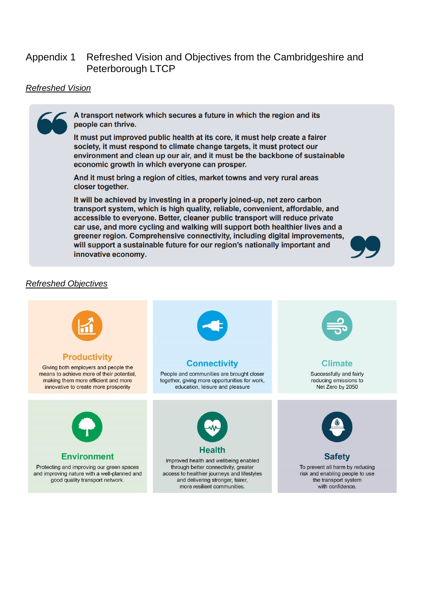### Appendix 1 Refreshed Vision and Objectives from the Cambridgeshire and Peterborough LTCP

#### *Refreshed Vision*



A transport network which secures a future in which the region and its people can thrive.

It must put improved public health at its core, it must help create a fairer society, it must respond to climate change targets, it must protect our environment and clean up our air, and it must be the backbone of sustainable economic growth in which everyone can prosper.

And it must bring a region of cities, market towns and very rural areas closer together.

It will be achieved by investing in a properly joined-up, net zero carbon transport system, which is high quality, reliable, convenient, affordable, and accessible to everyone. Better, cleaner public transport will reduce private car use, and more cycling and walking will support both healthier lives and a greener region. Comprehensive connectivity, including digital improvements, will support a sustainable future for our region's nationally important and innovative economy.



#### *Refreshed Objectives*

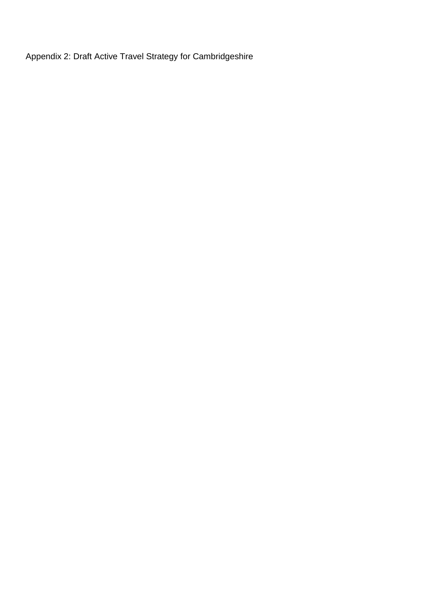Appendix 2: Draft Active Travel Strategy for Cambridgeshire